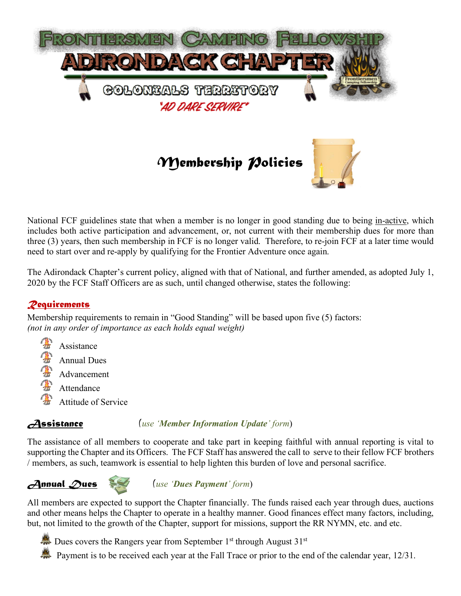

National FCF guidelines state that when a member is no longer in good standing due to being in-active, which includes both active participation and advancement, or, not current with their membership dues for more than three (3) years, then such membership in FCF is no longer valid. Therefore, to re-join FCF at a later time would need to start over and re-apply by qualifying for the Frontier Adventure once again.

The Adirondack Chapter's current policy, aligned with that of National, and further amended, as adopted July 1, 2020 by the FCF Staff Officers are as such, until changed otherwise, states the following:

# *Requirements*

Membership requirements to remain in "Good Standing" will be based upon five (5) factors: *(not in any order of importance as each holds equal weight)*

**TANK**  Assistance Ä Annual Dues Advancement Attendance Attitude of Service

*Assistance (use 'Member Information Update' form*)

The assistance of all members to cooperate and take part in keeping faithful with annual reporting is vital to supporting the Chapter and its Officers. The FCF Staff has answered the call to serve to their fellow FCF brothers / members, as such, teamwork is essential to help lighten this burden of love and personal sacrifice.





*Annual Dues (use 'Dues Payment' form*)

All members are expected to support the Chapter financially. The funds raised each year through dues, auctions and other means helps the Chapter to operate in a healthy manner. Good finances effect many factors, including, but, not limited to the growth of the Chapter, support for missions, support the RR NYMN, etc. and etc.

Dues covers the Rangers year from September 1<sup>st</sup> through August  $31<sup>st</sup>$ 

Payment is to be received each year at the Fall Trace or prior to the end of the calendar year, 12/31.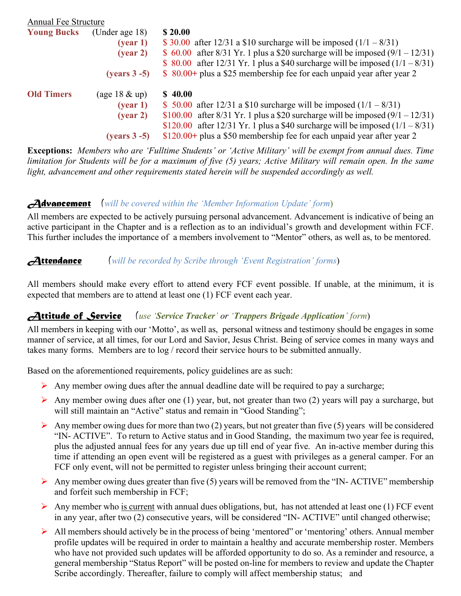| <b>Annual Fee Structure</b> |                                |                                                                                 |
|-----------------------------|--------------------------------|---------------------------------------------------------------------------------|
| <b>Young Bucks</b>          | (Under age 18)                 | \$20.00                                                                         |
|                             | (year 1)                       | \$ 30.00 after 12/31 a \$10 surcharge will be imposed $(1/1 – 8/31)$            |
|                             | (year 2)                       | \$ 60.00 after 8/31 Yr. 1 plus a \$20 surcharge will be imposed $(9/1 - 12/31)$ |
|                             |                                | \$ 80.00 after 12/31 Yr. 1 plus a \$40 surcharge will be imposed $(1/1 – 8/31)$ |
|                             | $(years 3 - 5)$                | \$ 80.00+ plus a \$25 membership fee for each unpaid year after year 2          |
| <b>Old Timers</b>           | $(\text{age }18 \& \text{up})$ | \$40.00                                                                         |
|                             | (year 1)                       | \$ 50.00 after 12/31 a \$10 surcharge will be imposed $(1/1 - 8/31)$            |
|                             | (year 2)                       | \$100.00 after 8/31 Yr. 1 plus a \$20 surcharge will be imposed $(9/1 - 12/31)$ |
|                             |                                | \$120.00 after 12/31 Yr. 1 plus a \$40 surcharge will be imposed $(1/1 – 8/31)$ |
|                             | $(years 3 - 5)$                | \$120.00+ plus a \$50 membership fee for each unpaid year after year 2          |

**Exceptions:** *Members who are 'Fulltime Students' or 'Active Military' will be exempt from annual dues. Time limitation for Students will be for a maximum of five (5) years; Active Military will remain open. In the same light, advancement and other requirements stated herein will be suspended accordingly as well.*

## *Advancement (will be covered within the 'Member Information Update' form*)

All members are expected to be actively pursuing personal advancement. Advancement is indicative of being an active participant in the Chapter and is a reflection as to an individual's growth and development within FCF. This further includes the importance of a members involvement to "Mentor" others, as well as, to be mentored.

## *Attendance (will be recorded by Scribe through 'Event Registration' forms*)

All members should make every effort to attend every FCF event possible. If unable, at the minimum, it is expected that members are to attend at least one (1) FCF event each year.

#### *Attitude of Service (use 'Service Tracker' or 'Trappers Brigade Application' form*)

All members in keeping with our 'Motto', as well as, personal witness and testimony should be engages in some manner of service, at all times, for our Lord and Savior, Jesus Christ. Being of service comes in many ways and takes many forms. Members are to log / record their service hours to be submitted annually.

Based on the aforementioned requirements, policy guidelines are as such:

- Any member owing dues after the annual deadline date will be required to pay a surcharge;
- $\triangleright$  Any member owing dues after one (1) year, but, not greater than two (2) years will pay a surcharge, but will still maintain an "Active" status and remain in "Good Standing";
- Any member owing dues for more than two (2) years, but not greater than five (5) years will be considered "IN- ACTIVE". To return to Active status and in Good Standing, the maximum two year fee is required, plus the adjusted annual fees for any years due up till end of year five. An in-active member during this time if attending an open event will be registered as a guest with privileges as a general camper. For an FCF only event, will not be permitted to register unless bringing their account current;
- $\triangleright$  Any member owing dues greater than five (5) years will be removed from the "IN-ACTIVE" membership and forfeit such membership in FCF;
- $\triangleright$  Any member who <u>is current</u> with annual dues obligations, but, has not attended at least one (1) FCF event in any year, after two (2) consecutive years, will be considered "IN- ACTIVE" until changed otherwise;
- Ø All members should actively be in the process of being 'mentored" or 'mentoring' others. Annual member profile updates will be required in order to maintain a healthy and accurate membership roster. Members who have not provided such updates will be afforded opportunity to do so. As a reminder and resource, a general membership "Status Report" will be posted on-line for members to review and update the Chapter Scribe accordingly. Thereafter, failure to comply will affect membership status; and